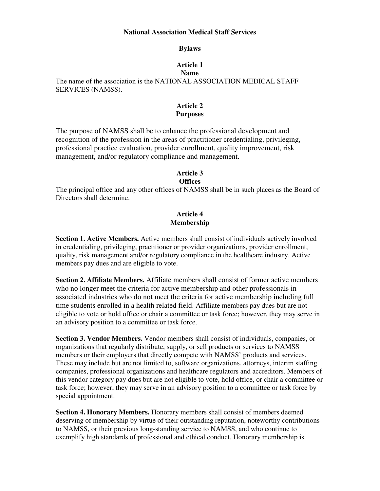#### **National Association Medical Staff Services**

#### **Bylaws**

# **Article 1**

#### **Name**

The name of the association is the NATIONAL ASSOCIATION MEDICAL STAFF SERVICES (NAMSS).

# **Article 2 Purposes**

The purpose of NAMSS shall be to enhance the professional development and recognition of the profession in the areas of practitioner credentialing, privileging, professional practice evaluation, provider enrollment, quality improvement, risk management, and/or regulatory compliance and management.

#### **Article 3 Offices**

The principal office and any other offices of NAMSS shall be in such places as the Board of Directors shall determine.

# **Article 4 Membership**

**Section 1. Active Members.** Active members shall consist of individuals actively involved in credentialing, privileging, practitioner or provider organizations, provider enrollment, quality, risk management and/or regulatory compliance in the healthcare industry. Active members pay dues and are eligible to vote.

**Section 2. Affiliate Members.** Affiliate members shall consist of former active members who no longer meet the criteria for active membership and other professionals in associated industries who do not meet the criteria for active membership including full time students enrolled in a health related field. Affiliate members pay dues but are not eligible to vote or hold office or chair a committee or task force; however, they may serve in an advisory position to a committee or task force.

**Section 3. Vendor Members.** Vendor members shall consist of individuals, companies, or organizations that regularly distribute, supply, or sell products or services to NAMSS members or their employers that directly compete with NAMSS' products and services. These may include but are not limited to, software organizations, attorneys, interim staffing companies, professional organizations and healthcare regulators and accreditors. Members of this vendor category pay dues but are not eligible to vote, hold office, or chair a committee or task force; however, they may serve in an advisory position to a committee or task force by special appointment.

**Section 4. Honorary Members.** Honorary members shall consist of members deemed deserving of membership by virtue of their outstanding reputation, noteworthy contributions to NAMSS, or their previous long-standing service to NAMSS, and who continue to exemplify high standards of professional and ethical conduct. Honorary membership is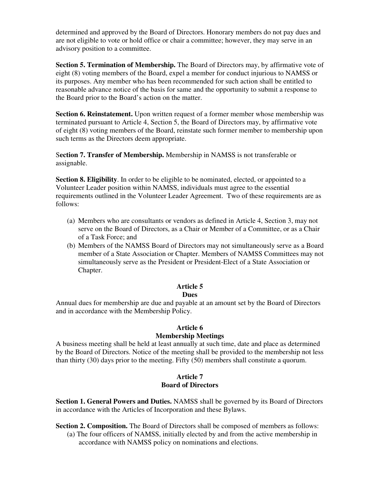determined and approved by the Board of Directors. Honorary members do not pay dues and are not eligible to vote or hold office or chair a committee; however, they may serve in an advisory position to a committee.

**Section 5. Termination of Membership.** The Board of Directors may, by affirmative vote of eight (8) voting members of the Board, expel a member for conduct injurious to NAMSS or its purposes. Any member who has been recommended for such action shall be entitled to reasonable advance notice of the basis for same and the opportunity to submit a response to the Board prior to the Board's action on the matter.

**Section 6. Reinstatement.** Upon written request of a former member whose membership was terminated pursuant to Article 4, Section 5, the Board of Directors may, by affirmative vote of eight (8) voting members of the Board, reinstate such former member to membership upon such terms as the Directors deem appropriate.

S**ection 7. Transfer of Membership.** Membership in NAMSS is not transferable or assignable.

**Section 8. Eligibility**. In order to be eligible to be nominated, elected, or appointed to a Volunteer Leader position within NAMSS, individuals must agree to the essential requirements outlined in the Volunteer Leader Agreement. Two of these requirements are as follows:

- (a) Members who are consultants or vendors as defined in Article 4, Section 3, may not serve on the Board of Directors, as a Chair or Member of a Committee, or as a Chair of a Task Force; and
- (b) Members of the NAMSS Board of Directors may not simultaneously serve as a Board member of a State Association or Chapter. Members of NAMSS Committees may not simultaneously serve as the President or President-Elect of a State Association or Chapter.

# **Article 5**

# **Dues**

Annual dues for membership are due and payable at an amount set by the Board of Directors and in accordance with the Membership Policy.

#### **Article 6 Membership Meetings**

A business meeting shall be held at least annually at such time, date and place as determined by the Board of Directors. Notice of the meeting shall be provided to the membership not less than thirty (30) days prior to the meeting. Fifty (50) members shall constitute a quorum.

# **Article 7 Board of Directors**

**Section 1. General Powers and Duties.** NAMSS shall be governed by its Board of Directors in accordance with the Articles of Incorporation and these Bylaws.

**Section 2. Composition.** The Board of Directors shall be composed of members as follows:

(a) The four officers of NAMSS, initially elected by and from the active membership in accordance with NAMSS policy on nominations and elections.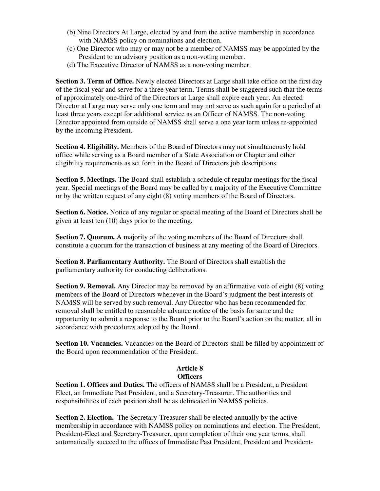- (b) Nine Directors At Large, elected by and from the active membership in accordance with NAMSS policy on nominations and election.
- (c) One Director who may or may not be a member of NAMSS may be appointed by the President to an advisory position as a non-voting member.
- (d) The Executive Director of NAMSS as a non-voting member.

**Section 3. Term of Office.** Newly elected Directors at Large shall take office on the first day of the fiscal year and serve for a three year term. Terms shall be staggered such that the terms of approximately one-third of the Directors at Large shall expire each year. An elected Director at Large may serve only one term and may not serve as such again for a period of at least three years except for additional service as an Officer of NAMSS. The non-voting Director appointed from outside of NAMSS shall serve a one year term unless re-appointed by the incoming President.

**Section 4. Eligibility.** Members of the Board of Directors may not simultaneously hold office while serving as a Board member of a State Association or Chapter and other eligibility requirements as set forth in the Board of Directors job descriptions.

**Section 5. Meetings.** The Board shall establish a schedule of regular meetings for the fiscal year. Special meetings of the Board may be called by a majority of the Executive Committee or by the written request of any eight (8) voting members of the Board of Directors.

**Section 6. Notice.** Notice of any regular or special meeting of the Board of Directors shall be given at least ten (10) days prior to the meeting.

**Section 7. Quorum.** A majority of the voting members of the Board of Directors shall constitute a quorum for the transaction of business at any meeting of the Board of Directors.

**Section 8. Parliamentary Authority.** The Board of Directors shall establish the parliamentary authority for conducting deliberations.

**Section 9. Removal.** Any Director may be removed by an affirmative vote of eight (8) voting members of the Board of Directors whenever in the Board's judgment the best interests of NAMSS will be served by such removal. Any Director who has been recommended for removal shall be entitled to reasonable advance notice of the basis for same and the opportunity to submit a response to the Board prior to the Board's action on the matter, all in accordance with procedures adopted by the Board.

**Section 10. Vacancies.** Vacancies on the Board of Directors shall be filled by appointment of the Board upon recommendation of the President.

#### **Article 8 Officers**

**Section 1. Offices and Duties.** The officers of NAMSS shall be a President, a President Elect, an Immediate Past President, and a Secretary-Treasurer. The authorities and responsibilities of each position shall be as delineated in NAMSS policies.

**Section 2. Election.** The Secretary-Treasurer shall be elected annually by the active membership in accordance with NAMSS policy on nominations and election. The President, President-Elect and Secretary-Treasurer, upon completion of their one year terms, shall automatically succeed to the offices of Immediate Past President, President and President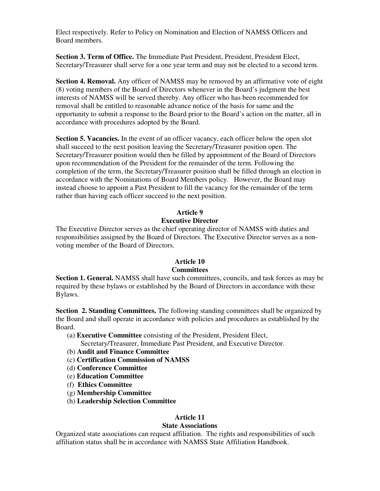Elect respectively. Refer to Policy on Nomination and Election of NAMSS Officers and Board members.

**Section 3. Term of Office.** The Immediate Past President, President, President Elect, Secretary/Treasurer shall serve for a one year term and may not be elected to a second term.

**Section 4. Removal.** Any officer of NAMSS may be removed by an affirmative vote of eight (8) voting members of the Board of Directors whenever in the Board's judgment the best interests of NAMSS will be served thereby. Any officer who has been recommended for removal shall be entitled to reasonable advance notice of the basis for same and the opportunity to submit a response to the Board prior to the Board's action on the matter, all in accordance with procedures adopted by the Board.

**Section 5. Vacancies.** In the event of an officer vacancy, each officer below the open slot shall succeed to the next position leaving the Secretary/Treasurer position open. The Secretary/Treasurer position would then be filled by appointment of the Board of Directors upon recommendation of the President for the remainder of the term. Following the completion of the term, the Secretary/Treasurer position shall be filled through an election in accordance with the Nominations of Board Members policy. However, the Board may instead choose to appoint a Past President to fill the vacancy for the remainder of the term rather than having each officer succeed to the next position.

# **Article 9**

#### **Executive Director**

The Executive Director serves as the chief operating director of NAMSS with duties and responsibilities assigned by the Board of Directors. The Executive Director serves as a nonvoting member of the Board of Directors.

## **Article 10 Committees**

**Section 1. General.** NAMSS shall have such committees, councils, and task forces as may be required by these bylaws or established by the Board of Directors in accordance with these Bylaws.

**Section 2. Standing Committees.** The following standing committees shall be organized by the Board and shall operate in accordance with policies and procedures as established by the Board.

(a) **Executive Committee** consisting of the President, President Elect,

Secretary/Treasurer, Immediate Past President, and Executive Director.

- (b) **Audit and Finance Committee**
- (c) **Certification Commission of NAMSS**
- (d) **Conference Committee**
- (e) **Education Committee**
- (f) **Ethics Committee**
- (g) **Membership Committee**
- (h) **Leadership Selection Committee**

#### **Article 11**

#### **State Associations**

Organized state associations can request affiliation. The rights and responsibilities of such affiliation status shall be in accordance with NAMSS State Affiliation Handbook.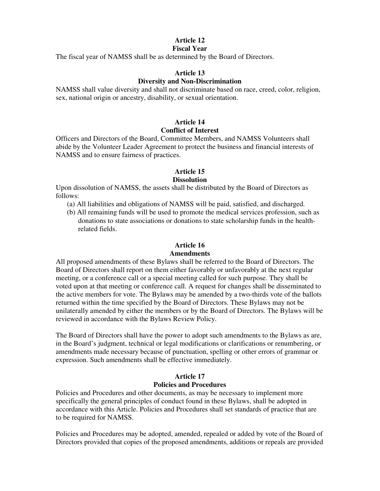# **Article 12**

# **Fiscal Year**

The fiscal year of NAMSS shall be as determined by the Board of Directors.

# **Article 13**

# **Diversity and Non-Discrimination**

NAMSS shall value diversity and shall not discriminate based on race, creed, color, religion, sex, national origin or ancestry, disability, or sexual orientation.

## **Article 14 Conflict of Interest**

Officers and Directors of the Board, Committee Members, and NAMSS Volunteers shall abide by the Volunteer Leader Agreement to protect the business and financial interests of NAMSS and to ensure fairness of practices.

# **Article 15**

# **Dissolution**

Upon dissolution of NAMSS, the assets shall be distributed by the Board of Directors as follows:

- (a) All liabilities and obligations of NAMSS will be paid, satisfied, and discharged.
- (b) All remaining funds will be used to promote the medical services profession, such as donations to state associations or donations to state scholarship funds in the healthrelated fields.

#### **Article 16 Amendments**

# All proposed amendments of these Bylaws shall be referred to the Board of Directors. The Board of Directors shall report on them either favorably or unfavorably at the next regular meeting, or a conference call or a special meeting called for such purpose. They shall be voted upon at that meeting or conference call. A request for changes shall be disseminated to the active members for vote. The Bylaws may be amended by a two-thirds vote of the ballots returned within the time specified by the Board of Directors. These Bylaws may not be unilaterally amended by either the members or by the Board of Directors. The Bylaws will be reviewed in accordance with the Bylaws Review Policy.

The Board of Directors shall have the power to adopt such amendments to the Bylaws as are, in the Board's judgment, technical or legal modifications or clarifications or renumbering, or amendments made necessary because of punctuation, spelling or other errors of grammar or expression. Such amendments shall be effective immediately.

## **Article 17 Policies and Procedures**

Policies and Procedures and other documents, as may be necessary to implement more specifically the general principles of conduct found in these Bylaws, shall be adopted in accordance with this Article. Policies and Procedures shall set standards of practice that are to be required for NAMSS.

Policies and Procedures may be adopted, amended, repealed or added by vote of the Board of Directors provided that copies of the proposed amendments, additions or repeals are provided